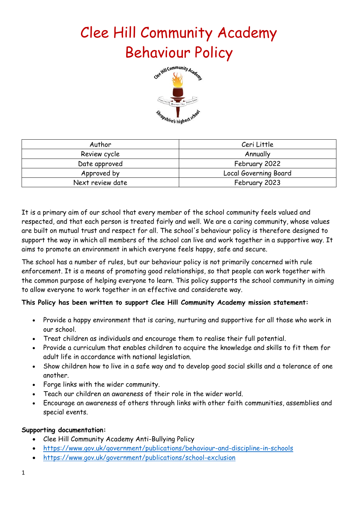# Clee Hill Community Academy Behaviour Policy



| Author           | Ceri Little           |
|------------------|-----------------------|
| Review cycle     | Annually              |
| Date approved    | February 2022         |
| Approved by      | Local Governing Board |
| Next review date | February 2023         |

It is a primary aim of our school that every member of the school community feels valued and respected, and that each person is treated fairly and well. We are a caring community, whose values are built on mutual trust and respect for all. The school's behaviour policy is therefore designed to support the way in which all members of the school can live and work together in a supportive way. It aims to promote an environment in which everyone feels happy, safe and secure.

The school has a number of rules, but our behaviour policy is not primarily concerned with rule enforcement. It is a means of promoting good relationships, so that people can work together with the common purpose of helping everyone to learn. This policy supports the school community in aiming to allow everyone to work together in an effective and considerate way.

#### **This Policy has been written to support Clee Hill Community Academy mission statement:**

- Provide a happy environment that is caring, nurturing and supportive for all those who work in our school.
- Treat children as individuals and encourage them to realise their full potential.
- Provide a curriculum that enables children to acquire the knowledge and skills to fit them for adult life in accordance with national legislation.
- Show children how to live in a safe way and to develop good social skills and a tolerance of one another.
- Forge links with the wider community.
- Teach our children an awareness of their role in the wider world.
- Encourage an awareness of others through links with other faith communities, assemblies and special events.

#### **Supporting documentation:**

- Clee Hill Community Academy Anti-Bullying Policy
- <https://www.gov.uk/government/publications/behaviour-and-discipline-in-schools>
- <https://www.gov.uk/government/publications/school-exclusion>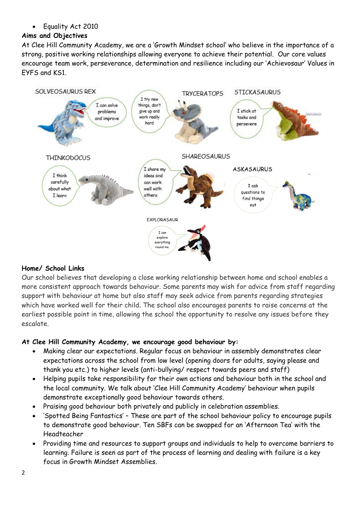• Equality Act 2010

# **Aims and Objectives**

At Clee Hill Community Academy, we are a 'Growth Mindset school' who believe in the importance of a strong, positive working relationships allowing everyone to achieve their potential. Our core values encourage team work, perseverance, determination and resilience including our 'Achievosaur' Values in EYFS and KS1.



# **Home/ School Links**

Our school believes that developing a close working relationship between home and school enables a more consistent approach towards behaviour. Some parents may wish for advice from staff regarding support with behaviour at home but also staff may seek advice from parents regarding strategies which have worked well for their child. The school also encourages parents to raise concerns at the earliest possible point in time, allowing the school the opportunity to resolve any issues before they escalate.

# **At Clee Hill Community Academy, we encourage good behaviour by:**

- Making clear our expectations. Regular focus on behaviour in assembly demonstrates clear expectations across the school from low level (opening doors for adults, saying please and thank you etc.) to higher levels (anti-bullying/ respect towards peers and staff)
- Helping pupils take responsibility for their own actions and behaviour both in the school and the local community. We talk about 'Clee Hill Community Academy' behaviour when pupils demonstrate exceptionally good behaviour towards others.
- Praising good behaviour both privately and publicly in celebration assemblies.
- 'Spotted Being Fantastics' These are part of the school behaviour policy to encourage pupils to demonstrate good behaviour. Ten SBFs can be swapped for an 'Afternoon Tea' with the Headteacher
- Providing time and resources to support groups and individuals to help to overcome barriers to learning. Failure is seen as part of the process of learning and dealing with failure is a key focus in Growth Mindset Assemblies.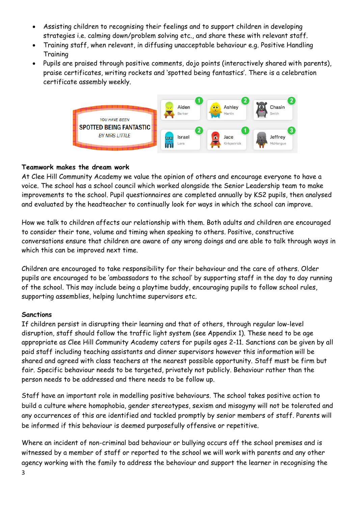- Assisting children to recognising their feelings and to support children in developing strategies i.e. calming down/problem solving etc., and share these with relevant staff.
- Training staff, when relevant, in diffusing unacceptable behaviour e.g. Positive Handling **Training**
- Pupils are praised through positive comments, dojo points (interactively shared with parents), praise certificates, writing rockets and 'spotted being fantastics'. There is a celebration certificate assembly weekly.



#### **Teamwork makes the dream work**

At Clee Hill Community Academy we value the opinion of others and encourage everyone to have a voice. The school has a school council which worked alongside the Senior Leadership team to make improvements to the school. Pupil questionnaires are completed annually by KS2 pupils, then analysed and evaluated by the headteacher to continually look for ways in which the school can improve.

How we talk to children affects our relationship with them. Both adults and children are encouraged to consider their tone, volume and timing when speaking to others. Positive, constructive conversations ensure that children are aware of any wrong doings and are able to talk through ways in which this can be improved next time.

Children are encouraged to take responsibility for their behaviour and the care of others. Older pupils are encouraged to be 'ambassadors to the school' by supporting staff in the day to day running of the school. This may include being a playtime buddy, encouraging pupils to follow school rules, supporting assemblies, helping lunchtime supervisors etc.

#### **Sanctions**

If children persist in disrupting their learning and that of others, through regular low-level disruption, staff should follow the traffic light system (see Appendix 1). These need to be age appropriate as Clee Hill Community Academy caters for pupils ages 2-11. Sanctions can be given by all paid staff including teaching assistants and dinner supervisors however this information will be shared and agreed with class teachers at the nearest possible opportunity. Staff must be firm but fair. Specific behaviour needs to be targeted, privately not publicly. Behaviour rather than the person needs to be addressed and there needs to be follow up.

Staff have an important role in modelling positive behaviours. The school takes positive action to build a culture where homophobia, gender stereotypes, sexism and misogyny will not be tolerated and any occurrences of this are identified and tackled promptly by senior members of staff. Parents will be informed if this behaviour is deemed purposefully offensive or repetitive.

Where an incident of non-criminal bad behaviour or bullying occurs off the school premises and is witnessed by a member of staff or reported to the school we will work with parents and any other agency working with the family to address the behaviour and support the learner in recognising the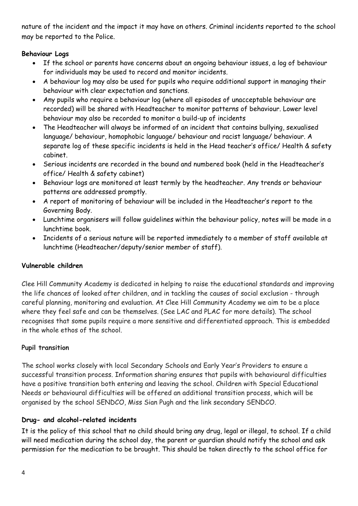nature of the incident and the impact it may have on others. Criminal incidents reported to the school may be reported to the Police.

#### **Behaviour Logs**

- If the school or parents have concerns about an ongoing behaviour issues, a log of behaviour for individuals may be used to record and monitor incidents.
- A behaviour log may also be used for pupils who require additional support in managing their behaviour with clear expectation and sanctions.
- Any pupils who require a behaviour log (where all episodes of unacceptable behaviour are recorded) will be shared with Headteacher to monitor patterns of behaviour. Lower level behaviour may also be recorded to monitor a build-up of incidents
- The Headteacher will always be informed of an incident that contains bullying, sexualised language/ behaviour, homophobic language/ behaviour and racist language/ behaviour. A separate log of these specific incidents is held in the Head teacher's office/ Health & safety cabinet.
- Serious incidents are recorded in the bound and numbered book (held in the Headteacher's office/ Health & safety cabinet)
- Behaviour logs are monitored at least termly by the headteacher. Any trends or behaviour patterns are addressed promptly.
- A report of monitoring of behaviour will be included in the Headteacher's report to the Governing Body.
- Lunchtime organisers will follow guidelines within the behaviour policy, notes will be made in a lunchtime book.
- Incidents of a serious nature will be reported immediately to a member of staff available at lunchtime (Headteacher/deputy/senior member of staff).

# **Vulnerable children**

Clee Hill Community Academy is dedicated in helping to raise the educational standards and improving the life chances of looked after children, and in tackling the causes of social exclusion - through careful planning, monitoring and evaluation. At Clee Hill Community Academy we aim to be a place where they feel safe and can be themselves. (See LAC and PLAC for more details). The school recognises that some pupils require a more sensitive and differentiated approach. This is embedded in the whole ethos of the school.

# **Pupil transition**

The school works closely with local Secondary Schools and Early Year's Providers to ensure a successful transition process. Information sharing ensures that pupils with behavioural difficulties have a positive transition both entering and leaving the school. Children with Special Educational Needs or behavioural difficulties will be offered an additional transition process, which will be organised by the school SENDCO, Miss Sian Pugh and the link secondary SENDCO.

#### **Drug- and alcohol-related incidents**

It is the policy of this school that no child should bring any drug, legal or illegal, to school. If a child will need medication during the school day, the parent or guardian should notify the school and ask permission for the medication to be brought. This should be taken directly to the school office for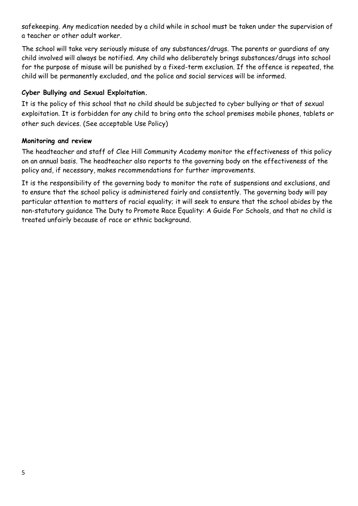safekeeping. Any medication needed by a child while in school must be taken under the supervision of a teacher or other adult worker.

The school will take very seriously misuse of any substances/drugs. The parents or guardians of any child involved will always be notified. Any child who deliberately brings substances/drugs into school for the purpose of misuse will be punished by a fixed-term exclusion. If the offence is repeated, the child will be permanently excluded, and the police and social services will be informed.

#### **Cyber Bullying and Sexual Exploitation.**

It is the policy of this school that no child should be subjected to cyber bullying or that of sexual exploitation. It is forbidden for any child to bring onto the school premises mobile phones, tablets or other such devices. (See acceptable Use Policy)

#### **Monitoring and review**

The headteacher and staff of Clee Hill Community Academy monitor the effectiveness of this policy on an annual basis. The headteacher also reports to the governing body on the effectiveness of the policy and, if necessary, makes recommendations for further improvements.

It is the responsibility of the governing body to monitor the rate of suspensions and exclusions, and to ensure that the school policy is administered fairly and consistently. The governing body will pay particular attention to matters of racial equality; it will seek to ensure that the school abides by the non-statutory guidance The Duty to Promote Race Equality: A Guide For Schools, and that no child is treated unfairly because of race or ethnic background.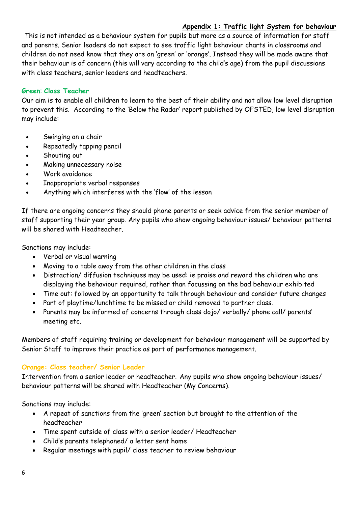#### **Appendix 1: Traffic light System for behaviour**

This is not intended as a behaviour system for pupils but more as a source of information for staff and parents. Senior leaders do not expect to see traffic light behaviour charts in classrooms and children do not need know that they are on 'green' or 'orange'. Instead they will be made aware that their behaviour is of concern (this will vary according to the child's age) from the pupil discussions with class teachers, senior leaders and headteachers.

#### **Green**: **Class Teacher**

Our aim is to enable all children to learn to the best of their ability and not allow low level disruption to prevent this. According to the 'Below the Radar' report published by OFSTED, low level disruption may include:

- Swinging on a chair
- Repeatedly tapping pencil
- Shouting out
- Making unnecessary noise
- Work avoidance
- Inappropriate verbal responses
- Anything which interferes with the 'flow' of the lesson

If there are ongoing concerns they should phone parents or seek advice from the senior member of staff supporting their year group. Any pupils who show ongoing behaviour issues/ behaviour patterns will be shared with Headteacher.

Sanctions may include:

- Verbal or visual warning
- Moving to a table away from the other children in the class
- Distraction/ diffusion techniques may be used: ie praise and reward the children who are displaying the behaviour required, rather than focussing on the bad behaviour exhibited
- Time out: followed by an opportunity to talk through behaviour and consider future changes
- Part of playtime/lunchtime to be missed or child removed to partner class.
- Parents may be informed of concerns through class dojo/ verbally/ phone call/ parents' meeting etc.

Members of staff requiring training or development for behaviour management will be supported by Senior Staff to improve their practice as part of performance management.

#### **Orange: Class teacher/ Senior Leader**

Intervention from a senior leader or headteacher. Any pupils who show ongoing behaviour issues/ behaviour patterns will be shared with Headteacher (My Concerns).

Sanctions may include:

- A repeat of sanctions from the 'green' section but brought to the attention of the headteacher
- Time spent outside of class with a senior leader/ Headteacher
- Child's parents telephoned/ a letter sent home
- Regular meetings with pupil/ class teacher to review behaviour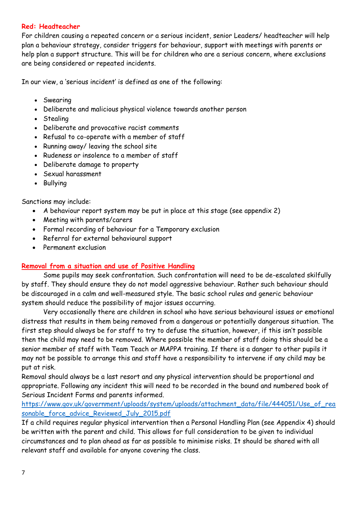#### **Red: Headteacher**

For children causing a repeated concern or a serious incident, senior Leaders/ headteacher will help plan a behaviour strategy, consider triggers for behaviour, support with meetings with parents or help plan a support structure. This will be for children who are a serious concern, where exclusions are being considered or repeated incidents.

In our view, a 'serious incident' is defined as one of the following:

- Swearing
- Deliberate and malicious physical violence towards another person
- Stealing
- Deliberate and provocative racist comments
- Refusal to co-operate with a member of staff
- Running away/ leaving the school site
- Rudeness or insolence to a member of staff
- Deliberate damage to property
- Sexual harassment
- Bullying

#### Sanctions may include:

- A behaviour report system may be put in place at this stage (see appendix 2)
- Meeting with parents/carers
- Formal recording of behaviour for a Temporary exclusion
- Referral for external behavioural support
- Permanent exclusion

#### **Removal from a situation and use of Positive Handling**

Some pupils may seek confrontation. Such confrontation will need to be de-escalated skilfully by staff. They should ensure they do not model aggressive behaviour. Rather such behaviour should be discouraged in a calm and well-measured style. The basic school rules and generic behaviour system should reduce the possibility of major issues occurring.

Very occasionally there are children in school who have serious behavioural issues or emotional distress that results in them being removed from a dangerous or potentially dangerous situation. The first step should always be for staff to try to defuse the situation, however, if this isn't possible then the child may need to be removed. Where possible the member of staff doing this should be a senior member of staff with Team Teach or MAPPA training. If there is a danger to other pupils it may not be possible to arrange this and staff have a responsibility to intervene if any child may be put at risk.

Removal should always be a last resort and any physical intervention should be proportional and appropriate. Following any incident this will need to be recorded in the bound and numbered book of Serious Incident Forms and parents informed.

#### [https://www.gov.uk/government/uploads/system/uploads/attachment\\_data/file/444051/Use\\_of\\_rea](https://www.gov.uk/government/uploads/system/uploads/attachment_data/file/444051/Use_of_reasonable_force_advice_Reviewed_July_2015.pdf) sonable force advice Reviewed July 2015.pdf

If a child requires regular physical intervention then a Personal Handling Plan (see Appendix 4) should be written with the parent and child. This allows for full consideration to be given to individual circumstances and to plan ahead as far as possible to minimise risks. It should be shared with all relevant staff and available for anyone covering the class.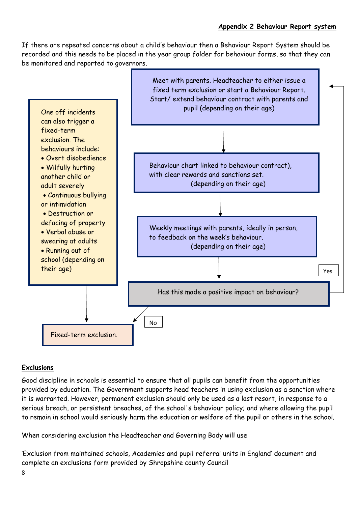If there are repeated concerns about a child's behaviour then a Behaviour Report System should be recorded and this needs to be placed in the year group folder for behaviour forms, so that they can be monitored and reported to governors.



# **Exclusions**

Good discipline in schools is essential to ensure that all pupils can benefit from the opportunities provided by education. The Government supports head teachers in using exclusion as a sanction where it is warranted. However, permanent exclusion should only be used as a last resort, in response to a serious breach, or persistent breaches, of the school's behaviour policy; and where allowing the pupil to remain in school would seriously harm the education or welfare of the pupil or others in the school.

When considering exclusion the Headteacher and Governing Body will use

'Exclusion from maintained schools, Academies and pupil referral units in England' document and complete an exclusions form provided by Shropshire county Council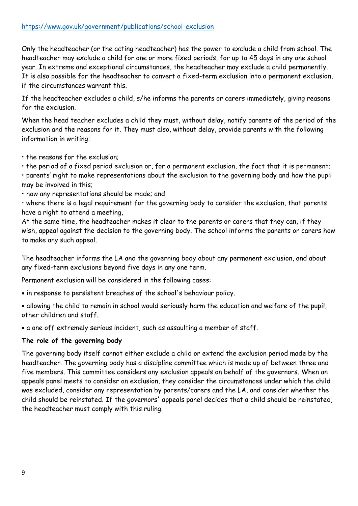Only the headteacher (or the acting headteacher) has the power to exclude a child from school. The headteacher may exclude a child for one or more fixed periods, for up to 45 days in any one school year. In extreme and exceptional circumstances, the headteacher may exclude a child permanently. It is also possible for the headteacher to convert a fixed-term exclusion into a permanent exclusion, if the circumstances warrant this.

If the headteacher excludes a child, s/he informs the parents or carers immediately, giving reasons for the exclusion.

When the head teacher excludes a child they must, without delay, notify parents of the period of the exclusion and the reasons for it. They must also, without delay, provide parents with the following information in writing:

• the reasons for the exclusion;

• the period of a fixed period exclusion or, for a permanent exclusion, the fact that it is permanent;

• parents' right to make representations about the exclusion to the governing body and how the pupil may be involved in this;

• how any representations should be made; and

• where there is a legal requirement for the governing body to consider the exclusion, that parents have a right to attend a meeting,

At the same time, the headteacher makes it clear to the parents or carers that they can, if they wish, appeal against the decision to the governing body. The school informs the parents or carers how to make any such appeal.

The headteacher informs the LA and the governing body about any permanent exclusion, and about any fixed-term exclusions beyond five days in any one term.

Permanent exclusion will be considered in the following cases:

• in response to persistent breaches of the school's behaviour policy.

• allowing the child to remain in school would seriously harm the education and welfare of the pupil, other children and staff.

• a one off extremely serious incident, such as assaulting a member of staff.

#### **The role of the governing body**

The governing body itself cannot either exclude a child or extend the exclusion period made by the headteacher. The governing body has a discipline committee which is made up of between three and five members. This committee considers any exclusion appeals on behalf of the governors. When an appeals panel meets to consider an exclusion, they consider the circumstances under which the child was excluded, consider any representation by parents/carers and the LA, and consider whether the child should be reinstated. If the governors' appeals panel decides that a child should be reinstated, the headteacher must comply with this ruling.